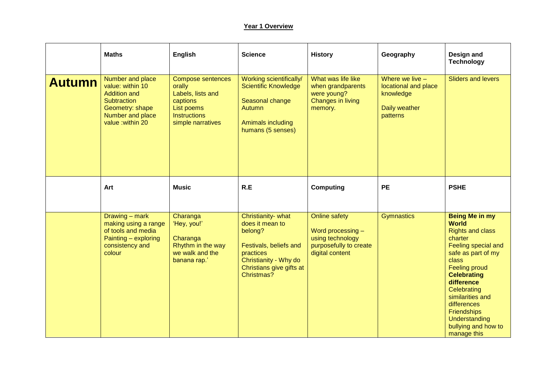## **Year 1 Overview**

|               | <b>Maths</b>                                                                                                                          | <b>English</b>                                                                                                                | <b>Science</b>                                                                                                                                             | <b>History</b>                                                                                             | Geography                                                                           | Design and<br><b>Technology</b>                                                                                                                                                                                                                                                                                              |
|---------------|---------------------------------------------------------------------------------------------------------------------------------------|-------------------------------------------------------------------------------------------------------------------------------|------------------------------------------------------------------------------------------------------------------------------------------------------------|------------------------------------------------------------------------------------------------------------|-------------------------------------------------------------------------------------|------------------------------------------------------------------------------------------------------------------------------------------------------------------------------------------------------------------------------------------------------------------------------------------------------------------------------|
| <b>Autumn</b> | Number and place<br>value: within 10<br><b>Addition and</b><br>Subtraction<br>Geometry: shape<br>Number and place<br>value: within 20 | <b>Compose sentences</b><br>orally<br>Labels, lists and<br>captions<br>List poems<br><b>Instructions</b><br>simple narratives | Working scientifically/<br><b>Scientific Knowledge</b><br>Seasonal change<br>Autumn<br>Amimals including<br>humans (5 senses)                              | What was life like<br>when grandparents<br>were young?<br><b>Changes in living</b><br>memory.              | Where we live $-$<br>locational and place<br>knowledge<br>Daily weather<br>patterns | <b>Sliders and levers</b>                                                                                                                                                                                                                                                                                                    |
|               | Art                                                                                                                                   | <b>Music</b>                                                                                                                  | R.E                                                                                                                                                        | <b>Computing</b>                                                                                           | <b>PE</b>                                                                           | <b>PSHE</b>                                                                                                                                                                                                                                                                                                                  |
|               | Drawing - mark<br>making using a range<br>of tools and media<br>Painting - exploring<br>consistency and<br>colour                     | Charanga<br>'Hey, you!'<br>Charanga<br>Rhythm in the way<br>we walk and the<br>banana rap.'                                   | Christianity- what<br>does it mean to<br>belong?<br>Festivals, beliefs and<br>practices<br>Christianity - Why do<br>Christians give gifts at<br>Christmas? | <b>Online safety</b><br>Word processing -<br>using technology<br>purposefully to create<br>digital content | <b>Gymnastics</b>                                                                   | <b>Being Me in my</b><br><b>World</b><br><b>Rights and class</b><br>charter<br>Feeling special and<br>safe as part of my<br>class<br><b>Feeling proud</b><br><b>Celebrating</b><br>difference<br>Celebrating<br>similarities and<br>differences<br><b>Friendships</b><br>Understanding<br>bullying and how to<br>manage this |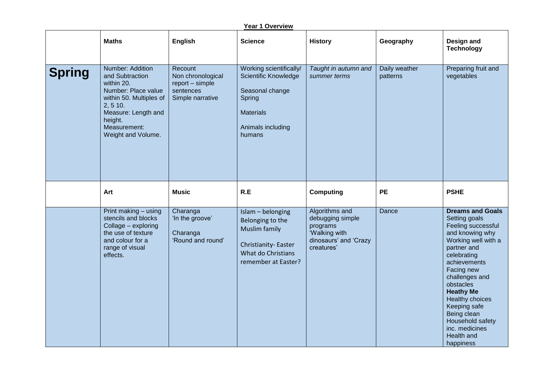|               | <u> Year 1 Overview</u>                                                                                                                                                                        |                                                                                  |                                                                                                                                   |                                                                                                        |                           |                                                                                                                                                                                                                                                                                                                                                   |  |  |
|---------------|------------------------------------------------------------------------------------------------------------------------------------------------------------------------------------------------|----------------------------------------------------------------------------------|-----------------------------------------------------------------------------------------------------------------------------------|--------------------------------------------------------------------------------------------------------|---------------------------|---------------------------------------------------------------------------------------------------------------------------------------------------------------------------------------------------------------------------------------------------------------------------------------------------------------------------------------------------|--|--|
|               | <b>Maths</b>                                                                                                                                                                                   | English                                                                          | <b>Science</b>                                                                                                                    | <b>History</b>                                                                                         | Geography                 | Design and<br><b>Technology</b>                                                                                                                                                                                                                                                                                                                   |  |  |
| <b>Spring</b> | <b>Number: Addition</b><br>and Subtraction<br>within 20.<br>Number: Place value<br>within 50. Multiples of<br>2, 5 10.<br>Measure: Length and<br>height.<br>Measurement:<br>Weight and Volume. | Recount<br>Non chronological<br>report - simple<br>sentences<br>Simple narrative | Working scientifically/<br>Scientific Knowledge<br>Seasonal change<br>Spring<br><b>Materials</b><br>Animals including<br>humans   | Taught in autumn and<br>summer terms                                                                   | Daily weather<br>patterns | Preparing fruit and<br>vegetables                                                                                                                                                                                                                                                                                                                 |  |  |
|               | Art                                                                                                                                                                                            | <b>Music</b>                                                                     | R.E                                                                                                                               | <b>Computing</b>                                                                                       | <b>PE</b>                 | <b>PSHE</b>                                                                                                                                                                                                                                                                                                                                       |  |  |
|               | Print making - using<br>stencils and blocks<br>Collage - exploring<br>the use of texture<br>and colour for a<br>range of visual<br>effects.                                                    | Charanga<br>'In the groove'<br>Charanga<br>'Round and round'                     | Islam - belonging<br>Belonging to the<br><b>Muslim family</b><br>Christianity-Easter<br>What do Christians<br>remember at Easter? | Algorithms and<br>debugging simple<br>programs<br>'Walking with<br>dinosaurs' and 'Crazy<br>creatures' | Dance                     | <b>Dreams and Goals</b><br>Setting goals<br>Feeling successful<br>and knowing why<br>Working well with a<br>partner and<br>celebrating<br>achievements<br>Facing new<br>challenges and<br>obstacles<br><b>Heathy Me</b><br>Healthy choices<br>Keeping safe<br>Being clean<br>Household safety<br>inc. medicines<br><b>Health and</b><br>happiness |  |  |